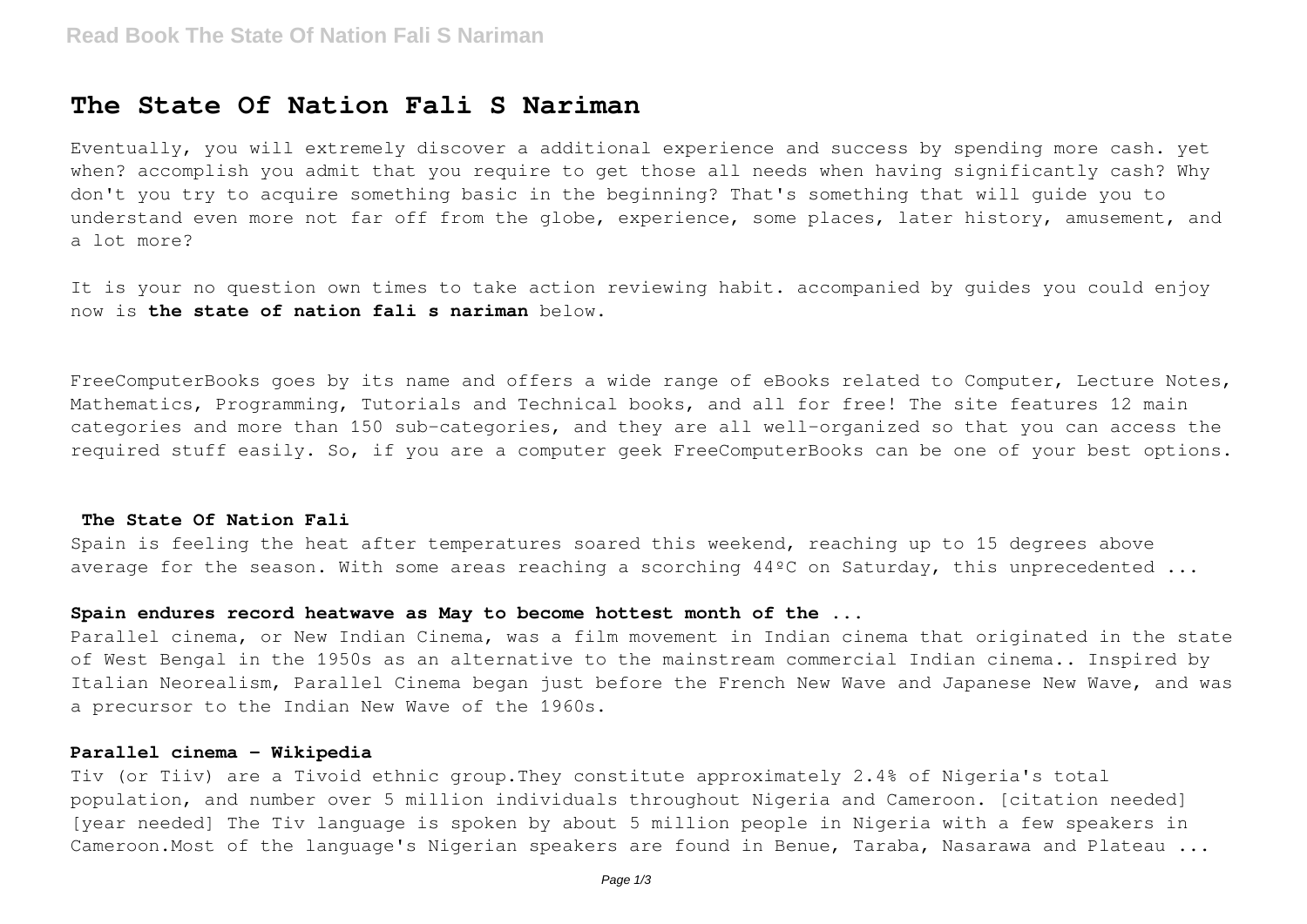# **The State Of Nation Fali S Nariman**

Eventually, you will extremely discover a additional experience and success by spending more cash. yet when? accomplish you admit that you require to get those all needs when having significantly cash? Why don't you try to acquire something basic in the beginning? That's something that will guide you to understand even more not far off from the globe, experience, some places, later history, amusement, and a lot more?

It is your no question own times to take action reviewing habit. accompanied by guides you could enjoy now is **the state of nation fali s nariman** below.

FreeComputerBooks goes by its name and offers a wide range of eBooks related to Computer, Lecture Notes, Mathematics, Programming, Tutorials and Technical books, and all for free! The site features 12 main categories and more than 150 sub-categories, and they are all well-organized so that you can access the required stuff easily. So, if you are a computer geek FreeComputerBooks can be one of your best options.

## **The State Of Nation Fali**

Spain is feeling the heat after temperatures soared this weekend, reaching up to 15 degrees above average for the season. With some areas reaching a scorching 44ºC on Saturday, this unprecedented ...

### **Spain endures record heatwave as May to become hottest month of the ...**

Parallel cinema, or New Indian Cinema, was a film movement in Indian cinema that originated in the state of West Bengal in the 1950s as an alternative to the mainstream commercial Indian cinema.. Inspired by Italian Neorealism, Parallel Cinema began just before the French New Wave and Japanese New Wave, and was a precursor to the Indian New Wave of the 1960s.

#### **Parallel cinema - Wikipedia**

Tiv (or Tiiv) are a Tivoid ethnic group.They constitute approximately 2.4% of Nigeria's total population, and number over 5 million individuals throughout Nigeria and Cameroon. [citation needed] [year needed] The Tiv language is spoken by about 5 million people in Nigeria with a few speakers in Cameroon.Most of the language's Nigerian speakers are found in Benue, Taraba, Nasarawa and Plateau ...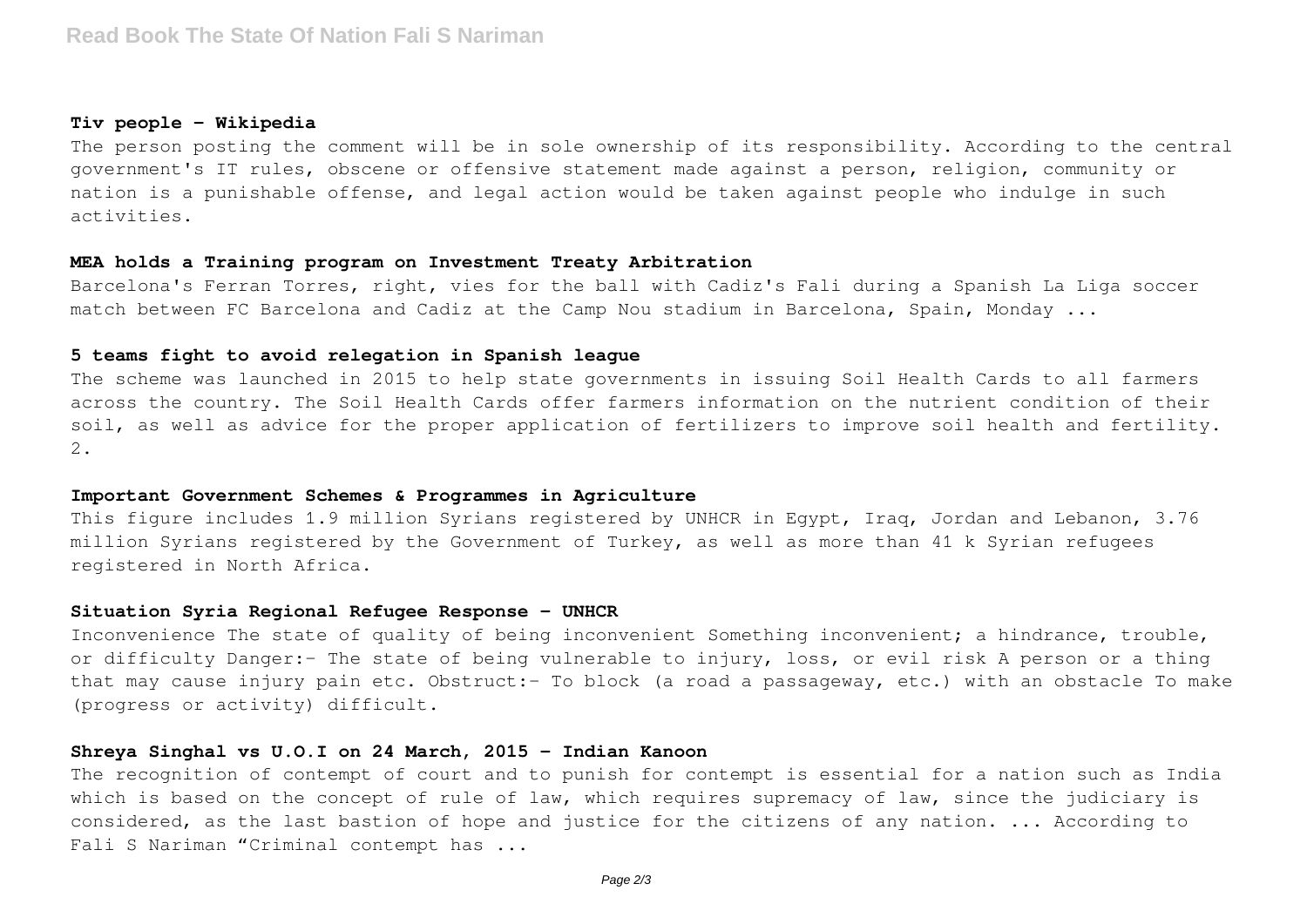#### **Tiv people - Wikipedia**

The person posting the comment will be in sole ownership of its responsibility. According to the central government's IT rules, obscene or offensive statement made against a person, religion, community or nation is a punishable offense, and legal action would be taken against people who indulge in such activities.

## **MEA holds a Training program on Investment Treaty Arbitration**

Barcelona's Ferran Torres, right, vies for the ball with Cadiz's Fali during a Spanish La Liga soccer match between FC Barcelona and Cadiz at the Camp Nou stadium in Barcelona, Spain, Monday ...

# **5 teams fight to avoid relegation in Spanish league**

The scheme was launched in 2015 to help state governments in issuing Soil Health Cards to all farmers across the country. The Soil Health Cards offer farmers information on the nutrient condition of their soil, as well as advice for the proper application of fertilizers to improve soil health and fertility. 2.

# **Important Government Schemes & Programmes in Agriculture**

This figure includes 1.9 million Syrians registered by UNHCR in Egypt, Iraq, Jordan and Lebanon, 3.76 million Syrians registered by the Government of Turkey, as well as more than 41 k Syrian refugees registered in North Africa.

#### **Situation Syria Regional Refugee Response - UNHCR**

Inconvenience The state of quality of being inconvenient Something inconvenient; a hindrance, trouble, or difficulty Danger:- The state of being vulnerable to injury, loss, or evil risk A person or a thing that may cause injury pain etc. Obstruct:- To block (a road a passageway, etc.) with an obstacle To make (progress or activity) difficult.

#### **Shreya Singhal vs U.O.I on 24 March, 2015 - Indian Kanoon**

The recognition of contempt of court and to punish for contempt is essential for a nation such as India which is based on the concept of rule of law, which requires supremacy of law, since the judiciary is considered, as the last bastion of hope and justice for the citizens of any nation. ... According to Fali S Nariman "Criminal contempt has ...